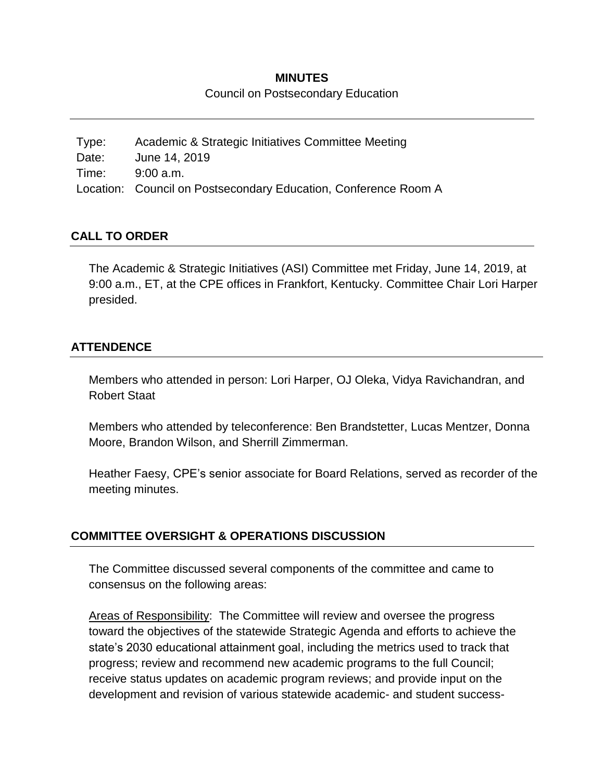### **MINUTES**

Council on Postsecondary Education

Type: Academic & Strategic Initiatives Committee Meeting Date: June 14, 2019 Time: 9:00 a.m. Location: Council on Postsecondary Education, Conference Room A

# **CALL TO ORDER**

The Academic & Strategic Initiatives (ASI) Committee met Friday, June 14, 2019, at 9:00 a.m., ET, at the CPE offices in Frankfort, Kentucky. Committee Chair Lori Harper presided.

### **ATTENDENCE**

Members who attended in person: Lori Harper, OJ Oleka, Vidya Ravichandran, and Robert Staat

Members who attended by teleconference: Ben Brandstetter, Lucas Mentzer, Donna Moore, Brandon Wilson, and Sherrill Zimmerman.

Heather Faesy, CPE's senior associate for Board Relations, served as recorder of the meeting minutes.

# **COMMITTEE OVERSIGHT & OPERATIONS DISCUSSION**

The Committee discussed several components of the committee and came to consensus on the following areas:

Areas of Responsibility: The Committee will review and oversee the progress toward the objectives of the statewide Strategic Agenda and efforts to achieve the state's 2030 educational attainment goal, including the metrics used to track that progress; review and recommend new academic programs to the full Council; receive status updates on academic program reviews; and provide input on the development and revision of various statewide academic- and student success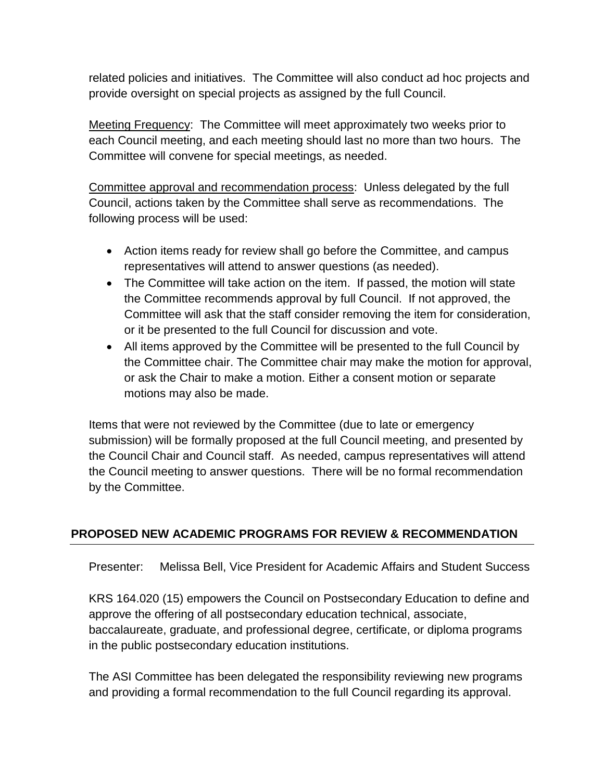related policies and initiatives. The Committee will also conduct ad hoc projects and provide oversight on special projects as assigned by the full Council.

Meeting Frequency: The Committee will meet approximately two weeks prior to each Council meeting, and each meeting should last no more than two hours. The Committee will convene for special meetings, as needed.

Committee approval and recommendation process: Unless delegated by the full Council, actions taken by the Committee shall serve as recommendations. The following process will be used:

- Action items ready for review shall go before the Committee, and campus representatives will attend to answer questions (as needed).
- The Committee will take action on the item. If passed, the motion will state the Committee recommends approval by full Council. If not approved, the Committee will ask that the staff consider removing the item for consideration, or it be presented to the full Council for discussion and vote.
- All items approved by the Committee will be presented to the full Council by the Committee chair. The Committee chair may make the motion for approval, or ask the Chair to make a motion. Either a consent motion or separate motions may also be made.

Items that were not reviewed by the Committee (due to late or emergency submission) will be formally proposed at the full Council meeting, and presented by the Council Chair and Council staff. As needed, campus representatives will attend the Council meeting to answer questions. There will be no formal recommendation by the Committee.

# **PROPOSED NEW ACADEMIC PROGRAMS FOR REVIEW & RECOMMENDATION**

Presenter: Melissa Bell, Vice President for Academic Affairs and Student Success

KRS 164.020 (15) empowers the Council on Postsecondary Education to define and approve the offering of all postsecondary education technical, associate, baccalaureate, graduate, and professional degree, certificate, or diploma programs in the public postsecondary education institutions.

The ASI Committee has been delegated the responsibility reviewing new programs and providing a formal recommendation to the full Council regarding its approval.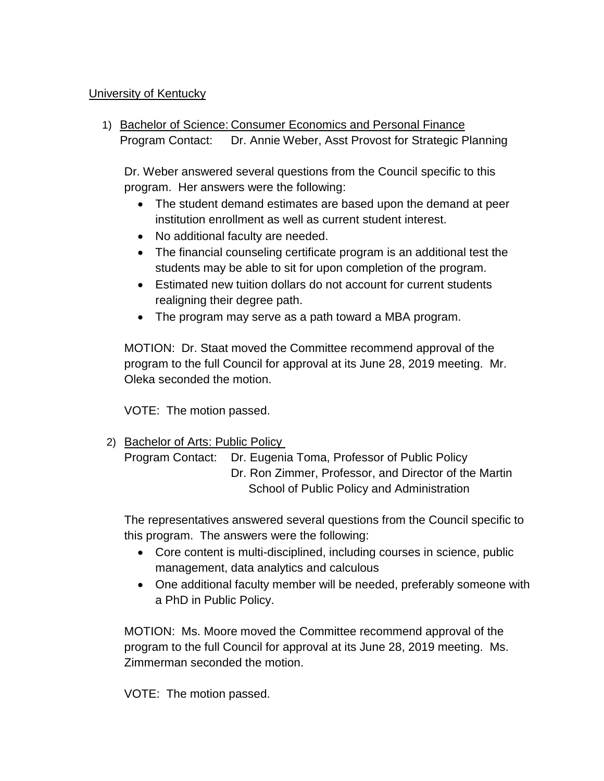# University of Kentucky

1) Bachelor of Science: Consumer Economics and Personal Finance Program Contact: Dr. Annie Weber, Asst Provost for Strategic Planning

Dr. Weber answered several questions from the Council specific to this program. Her answers were the following:

- The student demand estimates are based upon the demand at peer institution enrollment as well as current student interest.
- No additional faculty are needed.
- The financial counseling certificate program is an additional test the students may be able to sit for upon completion of the program.
- Estimated new tuition dollars do not account for current students realigning their degree path.
- The program may serve as a path toward a MBA program.

MOTION: Dr. Staat moved the Committee recommend approval of the program to the full Council for approval at its June 28, 2019 meeting. Mr. Oleka seconded the motion.

VOTE: The motion passed.

2) Bachelor of Arts: Public Policy

Program Contact: Dr. Eugenia Toma, Professor of Public Policy Dr. Ron Zimmer, Professor, and Director of the Martin School of Public Policy and Administration

The representatives answered several questions from the Council specific to this program. The answers were the following:

- Core content is multi-disciplined, including courses in science, public management, data analytics and calculous
- One additional faculty member will be needed, preferably someone with a PhD in Public Policy.

MOTION: Ms. Moore moved the Committee recommend approval of the program to the full Council for approval at its June 28, 2019 meeting. Ms. Zimmerman seconded the motion.

VOTE: The motion passed.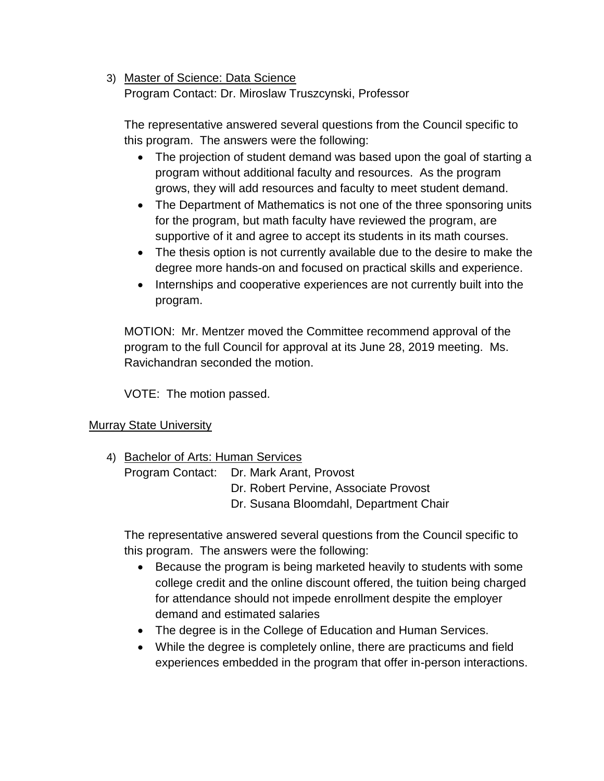# 3) Master of Science: Data Science

Program Contact: Dr. Miroslaw Truszcynski, Professor

The representative answered several questions from the Council specific to this program. The answers were the following:

- The projection of student demand was based upon the goal of starting a program without additional faculty and resources. As the program grows, they will add resources and faculty to meet student demand.
- The Department of Mathematics is not one of the three sponsoring units for the program, but math faculty have reviewed the program, are supportive of it and agree to accept its students in its math courses.
- The thesis option is not currently available due to the desire to make the degree more hands-on and focused on practical skills and experience.
- Internships and cooperative experiences are not currently built into the program.

MOTION: Mr. Mentzer moved the Committee recommend approval of the program to the full Council for approval at its June 28, 2019 meeting. Ms. Ravichandran seconded the motion.

VOTE: The motion passed.

# Murray State University

4) Bachelor of Arts: Human Services

Program Contact: Dr. Mark Arant, Provost Dr. Robert Pervine, Associate Provost

Dr. Susana Bloomdahl, Department Chair

The representative answered several questions from the Council specific to this program. The answers were the following:

- Because the program is being marketed heavily to students with some college credit and the online discount offered, the tuition being charged for attendance should not impede enrollment despite the employer demand and estimated salaries
- The degree is in the College of Education and Human Services.
- While the degree is completely online, there are practicums and field experiences embedded in the program that offer in-person interactions.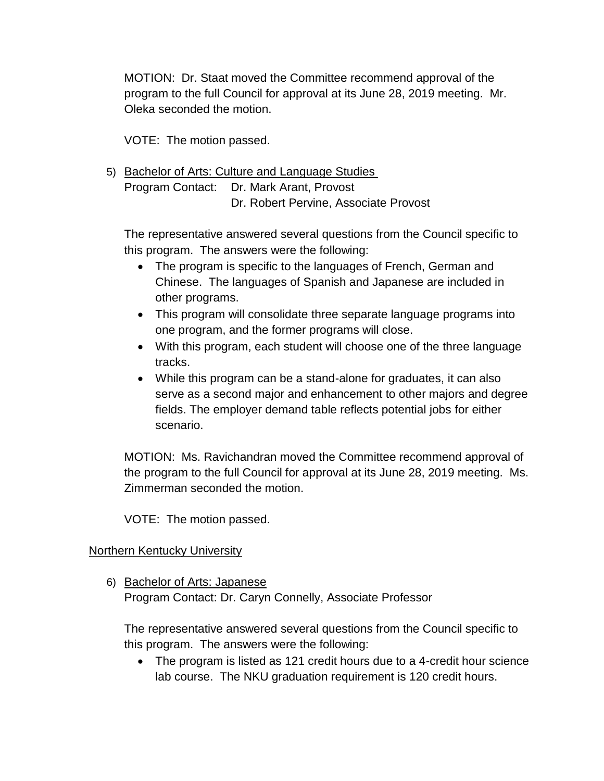MOTION: Dr. Staat moved the Committee recommend approval of the program to the full Council for approval at its June 28, 2019 meeting. Mr. Oleka seconded the motion.

VOTE: The motion passed.

5) Bachelor of Arts: Culture and Language Studies Program Contact: Dr. Mark Arant, Provost Dr. Robert Pervine, Associate Provost

The representative answered several questions from the Council specific to this program. The answers were the following:

- The program is specific to the languages of French, German and Chinese. The languages of Spanish and Japanese are included in other programs.
- This program will consolidate three separate language programs into one program, and the former programs will close.
- With this program, each student will choose one of the three language tracks.
- While this program can be a stand-alone for graduates, it can also serve as a second major and enhancement to other majors and degree fields. The employer demand table reflects potential jobs for either scenario.

MOTION: Ms. Ravichandran moved the Committee recommend approval of the program to the full Council for approval at its June 28, 2019 meeting. Ms. Zimmerman seconded the motion.

VOTE: The motion passed.

# Northern Kentucky University

6) Bachelor of Arts: Japanese Program Contact: Dr. Caryn Connelly, Associate Professor

The representative answered several questions from the Council specific to this program. The answers were the following:

• The program is listed as 121 credit hours due to a 4-credit hour science lab course. The NKU graduation requirement is 120 credit hours.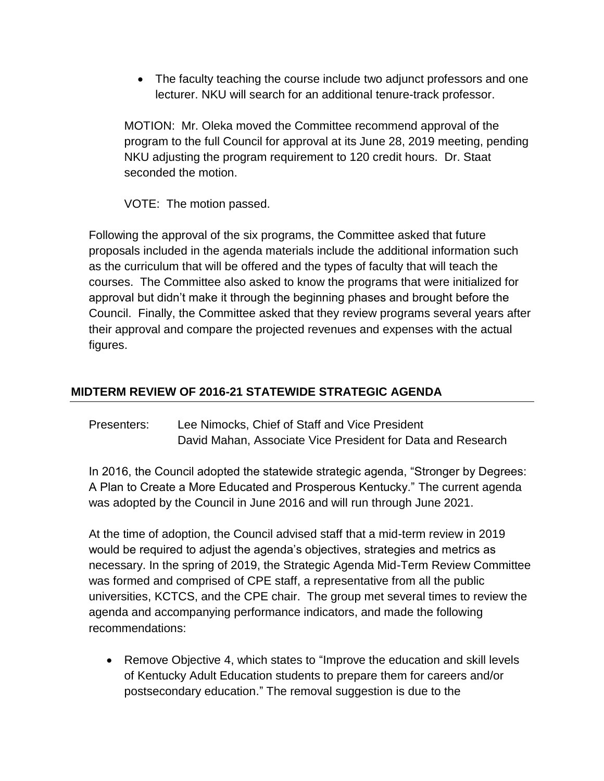The faculty teaching the course include two adjunct professors and one lecturer. NKU will search for an additional tenure-track professor.

MOTION: Mr. Oleka moved the Committee recommend approval of the program to the full Council for approval at its June 28, 2019 meeting, pending NKU adjusting the program requirement to 120 credit hours. Dr. Staat seconded the motion.

VOTE: The motion passed.

Following the approval of the six programs, the Committee asked that future proposals included in the agenda materials include the additional information such as the curriculum that will be offered and the types of faculty that will teach the courses. The Committee also asked to know the programs that were initialized for approval but didn't make it through the beginning phases and brought before the Council. Finally, the Committee asked that they review programs several years after their approval and compare the projected revenues and expenses with the actual figures.

# **MIDTERM REVIEW OF 2016-21 STATEWIDE STRATEGIC AGENDA**

Presenters: Lee Nimocks, Chief of Staff and Vice President David Mahan, Associate Vice President for Data and Research

In 2016, the Council adopted the statewide strategic agenda, "Stronger by Degrees: A Plan to Create a More Educated and Prosperous Kentucky." The current agenda was adopted by the Council in June 2016 and will run through June 2021.

At the time of adoption, the Council advised staff that a mid-term review in 2019 would be required to adjust the agenda's objectives, strategies and metrics as necessary. In the spring of 2019, the Strategic Agenda Mid-Term Review Committee was formed and comprised of CPE staff, a representative from all the public universities, KCTCS, and the CPE chair. The group met several times to review the agenda and accompanying performance indicators, and made the following recommendations:

• Remove Objective 4, which states to "Improve the education and skill levels of Kentucky Adult Education students to prepare them for careers and/or postsecondary education." The removal suggestion is due to the